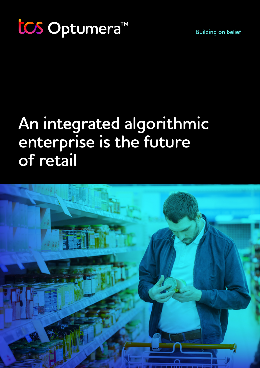# **An integrated algorithmic enterprise is the future of retail**

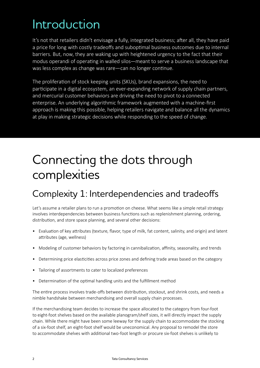## Introduction

It's not that retailers didn't envisage a fully, integrated business; after all, they have paid a price for long with costly tradeoffs and suboptimal business outcomes due to internal barriers. But, now, they are waking up with heightened urgency to the fact that their modus operandi of operating in walled silos—meant to serve a business landscape that was less complex as change was rare—can no longer continue.

The proliferation of stock keeping units (SKUs), brand expansions, the need to participate in a digital ecosystem, an ever-expanding network of supply chain partners, and mercurial customer behaviors are driving the need to pivot to a connected enterprise. An underlying algorithmic framework augmented with a machine-first approach is making this possible, helping retailers navigate and balance all the dynamics at play in making strategic decisions while responding to the speed of change.

## Connecting the dots through complexities

### Complexity 1: Interdependencies and tradeoffs

Let's assume a retailer plans to run a promotion on cheese. What seems like a simple retail strategy involves interdependencies between business functions such as replenishment planning, ordering, distribution, and store space planning, and several other decisions:

- Evaluation of key attributes (texture, flavor, type of milk, fat content, salinity, and origin) and latent attributes (age, wellness)
- Modeling of customer behaviors by factoring in cannibalization, affinity, seasonality, and trends
- Determining price elasticities across price zones and defining trade areas based on the category
- Tailoring of assortments to cater to localized preferences
- Determination of the optimal handling units and the fulfillment method

The entire process involves trade-offs between distribution, stockout, and shrink costs, and needs a nimble handshake between merchandising and overall supply chain processes.

If the merchandising team decides to increase the space allocated to the category from four-foot to eight-foot shelves based on the available planogram/shelf sizes, it will directly impact the supply chain. While there might have been some leeway for the supply chain to accommodate the stocking of a six-foot shelf, an eight-foot shelf would be uneconomical. Any proposal to remodel the store to accommodate shelves with additional two-foot length or procure six-foot shelves is unlikely to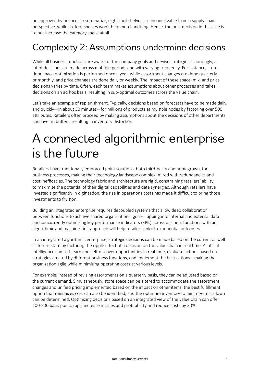be approved by finance. To summarize, eight-foot shelves are inconceivable from a supply chain perspective, while six-foot shelves won't help merchandising. Hence, the best decision in this case is to not increase the category space at all.

### Complexity 2: Assumptions undermine decisions

While all business functions are aware of the company goals and devise strategies accordingly, a lot of decisions are made across multiple periods and with varying frequency. For instance, store floor space optimization is performed once a year, while assortment changes are done quarterly or monthly, and price changes are done daily or weekly. The impact of these space, mix, and price decisions varies by time. Often, each team makes assumptions about other processes and takes decisions on an ad hoc basis, resulting in sub-optimal outcomes across the value chain.

Let's take an example of replenishment. Typically, decisions based on forecasts have to be made daily, and quickly—in about 30 minutes—for millions of products at multiple nodes by factoring over 500 attributes. Retailers often proceed by making assumptions about the decisions of other departments and layer in buffers, resulting in inventory distortion.

## A connected algorithmic enterprise is the future

Retailers have traditionally embraced point solutions, both third-party and homegrown, for business processes, making their technology landscape complex, mired with redundancies and cost inefficacies. The technology fabric and architecture are rigid, constraining retailers' ability to maximize the potential of their digital capabilities and data synergies. Although retailers have invested significantly in digitization, the rise in operations costs has made it difficult to bring those investments to fruition.

Building an integrated enterprise requires decoupled systems that allow deep collaboration between functions to achieve shared organizational goals. Tapping into internal and external data and concurrently optimizing key performance indicators (KPIs) across business functions with an algorithmic and machine-first approach will help retailers unlock exponential outcomes.

In an integrated algorithmic enterprise, strategic decisions can be made based on the current as well as future state by factoring the ripple effect of a decision on the value chain in real time. Artificial intelligence can self-learn and self-discover opportunities in real time, evaluate actions based on strategies created by different business functions, and implement the best actions—making the organization agile while minimizing operating costs at various levels.

For example, instead of revising assortments on a quarterly basis, they can be adjusted based on the current demand. Simultaneously, store space can be altered to accommodate the assortment changes and unified pricing implemented based on the impact on other items; the best fulfillment option that minimizes cost can also be identified, and the optimum inventory to minimize markdown can be determined. Optimizing decisions based on an integrated view of the value chain can offer 100-200 basis points (bps) increase in sales and profitability and reduce costs by 30%.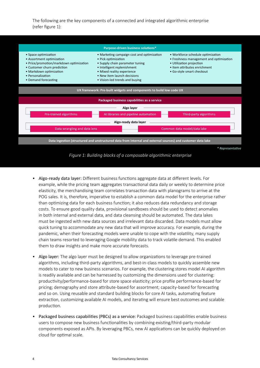The following are the key components of a connected and integrated algorithmic enterprise (refer figure 1):



*Figure 1: Building blocks of a composable algorithmic enterprise*

- Algo-ready data layer: Different business functions aggregate data at different levels. For example, while the pricing team aggregates transactional data daily or weekly to determine price elasticity, the merchandising team correlates transaction data with planograms to arrive at the POG sales. It is, therefore, imperative to establish a common data model for the enterprise rather than optimizing data for each business function; it also reduces data redundancy and storage costs. To ensure good quality data, provisional sandboxes should be used to detect anomalies in both internal and external data, and data cleansing should be automated. The data lakes must be ingested with new data sources and irrelevant data discarded. Data models must allow quick tuning to accommodate any new data that will improve accuracy. For example, during the pandemic, when their forecasting models were unable to cope with the volatility, many supply chain teams resorted to leveraging Google mobility data to track volatile demand. This enabled them to draw insights and make more accurate forecasts.
- Algo layer: The algo layer must be designed to allow organizations to leverage pre-trained algorithms, including third-party algorithms, and best-in-class models to quickly assemble new models to cater to new business scenarios. For example, the clustering stores model AI algorithm is readily available and can be harnessed by customizing the dimensions used for clustering: productivity/performance-based for store space elasticity; price profile performance-based for pricing; demography and store attribute-based for assortment; capacity-based for forecasting and so on. Using reusable and standard building blocks for core AI tasks, automating feature extraction, customizing available AI models, and iterating will ensure best outcomes and scalable production.
- Packaged business capabilities (PBCs) as a service: Packaged business capabilities enable business users to compose new business functionalities by combining existing/third-party modular components exposed as APIs. By leveraging PBCs, new AI applications can be quickly deployed on cloud for optimal scale.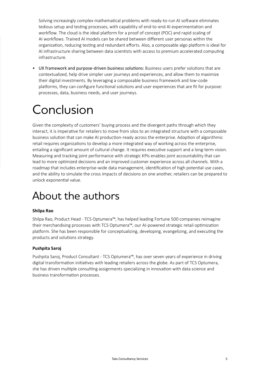Solving increasingly complex mathematical problems with ready-to-run AI software eliminates tedious setup and testing processes, with capability of end-to-end AI experimentation and workflow. The cloud is the ideal platform for a proof of concept (POC) and rapid scaling of AI workflows. Trained AI models can be shared between different user personas within the organization, reducing testing and redundant efforts. Also, a composable algo platform is ideal for AI infrastructure sharing between data scientists with access to premium accelerated computing infrastructure.

• UX framework and purpose-driven business solutions: Business users prefer solutions that are contextualized, help drive simpler user journeys and experiences, and allow them to maximize their digital investments. By leveraging a composable business framework and low-code platforms, they can configure functional solutions and user experiences that are fit for purpose: processes, data, business needs, and user journeys.

## Conclusion

Given the complexity of customers' buying process and the divergent paths through which they interact, it is imperative for retailers to move from silos to an integrated structure with a composable business solution that can make AI production-ready across the enterprise. Adoption of algorithmic retail requires organizations to develop a more integrated way of working across the enterprise, entailing a significant amount of cultural change. It requires executive support and a long-term vision. Measuring and tracking joint performance with strategic KPIs enables joint accountability that can lead to more optimized decisions and an improved customer experience across all channels. With a roadmap that includes enterprise-wide data management, identification of high potential use cases, and the ability to simulate the cross impacts of decisions on one another, retailers can be prepared to unlock exponential value.

### About the authors

#### **Shilpa Rao**

Shilpa Rao, Product Head - TCS Optumera™, has helped leading Fortune 500 companies reimagine their merchandising processes with TCS Optumera™, our AI-powered strategic retail optimization platform. She has been responsible for conceptualizing, developing, evangelizing, and executing the products and solutions strategy.

#### **Pushpita Saroj**

Pushpita Saroj, Product Consultant - TCS Optumera™, has over seven years of experience in driving digital transformation initiatives with leading retailers across the globe. As part of TCS Optumera, she has driven multiple consulting assignments specializing in innovation with data science and business transformation processes.